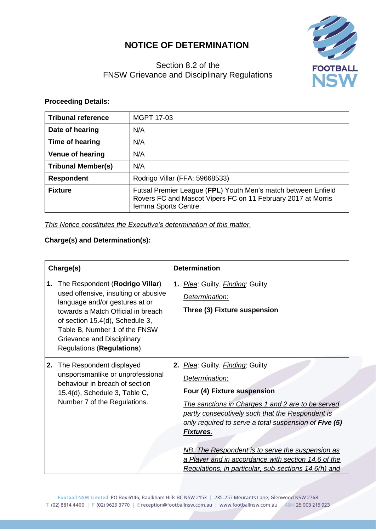## **NOTICE OF DETERMINATION**.



## Section 8.2 of the FNSW Grievance and Disciplinary Regulations

## **Proceeding Details:**

| <b>Tribunal reference</b> | <b>MGPT 17-03</b>                                                                                                                                     |
|---------------------------|-------------------------------------------------------------------------------------------------------------------------------------------------------|
| Date of hearing           | N/A                                                                                                                                                   |
| Time of hearing           | N/A                                                                                                                                                   |
| <b>Venue of hearing</b>   | N/A                                                                                                                                                   |
| <b>Tribunal Member(s)</b> | N/A                                                                                                                                                   |
| <b>Respondent</b>         | Rodrigo Villar (FFA: 59668533)                                                                                                                        |
| <b>Fixture</b>            | Futsal Premier League (FPL) Youth Men's match between Enfield<br>Rovers FC and Mascot Vipers FC on 11 February 2017 at Morris<br>Iemma Sports Centre. |

*This Notice constitutes the Executive's determination of this matter.*

## **Charge(s) and Determination(s):**

| Charge(s) |                                                                                                                                                                                                                                                                                 | <b>Determination</b>                                                                                                                                                                                                                                                                                                                                                                                                                       |  |
|-----------|---------------------------------------------------------------------------------------------------------------------------------------------------------------------------------------------------------------------------------------------------------------------------------|--------------------------------------------------------------------------------------------------------------------------------------------------------------------------------------------------------------------------------------------------------------------------------------------------------------------------------------------------------------------------------------------------------------------------------------------|--|
| 1.        | The Respondent (Rodrigo Villar)<br>used offensive, insulting or abusive<br>language and/or gestures at or<br>towards a Match Official in breach<br>of section 15.4(d), Schedule 3,<br>Table B, Number 1 of the FNSW<br>Grievance and Disciplinary<br>Regulations (Regulations). | 1. <i>Plea</i> : Guilty. <i>Finding</i> : Guilty<br>Determination:<br>Three (3) Fixture suspension                                                                                                                                                                                                                                                                                                                                         |  |
| 2.        | The Respondent displayed<br>unsportsmanlike or unprofessional<br>behaviour in breach of section<br>15.4(d), Schedule 3, Table C,<br>Number 7 of the Regulations.                                                                                                                | 2. Plea: Guilty. Finding: Guilty<br>Determination:<br>Four (4) Fixture suspension<br>The sanctions in Charges 1 and 2 are to be served<br>partly consecutively such that the Respondent is<br>only required to serve a total suspension of Five (5)<br><b>Fixtures.</b><br>NB. The Respondent is to serve the suspension as<br>a Player and in accordance with section 14.6 of the<br>Regulations, in particular, sub-sections 14.6(h) and |  |